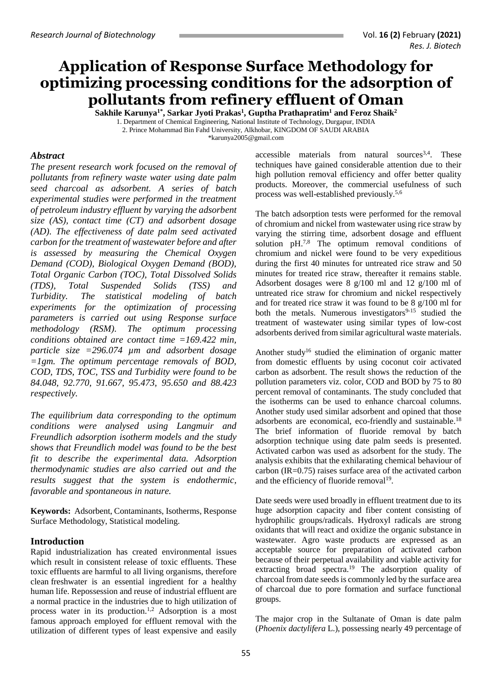# **Application of Response Surface Methodology for optimizing processing conditions for the adsorption of pollutants from refinery effluent of Oman**

**Sakhile Karunya1\*, Sarkar Jyoti Prakas<sup>1</sup> , Guptha Prathapratim<sup>1</sup> and Feroz Shaik<sup>2</sup>** 1. Department of Chemical Engineering, National Institute of Technology, Durgapur, INDIA 2. Prince Mohammad Bin Fahd University, Alkhobar, KINGDOM OF SAUDI ARABIA [\\*karunya2005@gmail.com](mailto:karunya2005@gmail.com)

# *Abstract*

*The present research work focused on the removal of pollutants from refinery waste water using date palm seed charcoal as adsorbent. A series of batch experimental studies were performed in the treatment of petroleum industry effluent by varying the adsorbent size (AS), contact time (CT) and adsorbent dosage (AD). The effectiveness of date palm seed activated carbon for the treatment of wastewater before and after is assessed by measuring the Chemical Oxygen Demand (COD), Biological Oxygen Demand (BOD), Total Organic Carbon (TOC), Total Dissolved Solids (TDS), Total Suspended Solids (TSS) and Turbidity. The statistical modeling of batch experiments for the optimization of processing parameters is carried out using Response surface methodology (RSM). The optimum processing conditions obtained are contact time =169.422 min, particle size =296.074 µm and adsorbent dosage =1gm. The optimum percentage removals of BOD, COD, TDS, TOC, TSS and Turbidity were found to be 84.048, 92.770, 91.667, 95.473, 95.650 and 88.423 respectively.*

*The equilibrium data corresponding to the optimum conditions were analysed using Langmuir and Freundlich adsorption [isotherm](https://www.sciencedirect.com/topics/chemistry/isotherm) models and the study shows that Freundlich model was found to be the best fit to describe the experimental data. Adsorption thermodynamic studies are also carried out and the results suggest that the system is endothermic, favorable and spontaneous in nature.*

**Keywords:** Adsorbent, Contaminants, Isotherms, Response Surface Methodology, Statistical modeling.

## **Introduction**

Rapid industrialization has created environmental issues which result in consistent release of toxic effluents. These toxic effluents are harmful to all living organisms, therefore clean freshwater is an essential ingredient for a healthy human life. Repossession and reuse of industrial effluent are a normal practice in the industries due to high utilization of process water in its production. 1,2 Adsorption is a most famous approach employed for effluent removal with the utilization of different types of least expensive and easily

 $accessible$  materials from natural sources<sup>3,4</sup>. These techniques have gained considerable attention due to their high pollution removal efficiency and offer better quality products. Moreover, the commercial usefulness of such process was well-established previously. 5,6

The batch adsorption tests were performed for the removal of chromium and nickel from wastewater using rice straw by varying the stirring time, adsorbent dosage and effluent solution pH.<sup>7,8</sup> The optimum removal conditions of chromium and nickel were found to be very expeditious during the first 40 minutes for untreated rice straw and 50 minutes for treated rice straw, thereafter it remains stable. Adsorbent dosages were 8 g/100 ml and 12 g/100 ml of untreated rice straw for chromium and nickel respectively and for treated rice straw it was found to be 8 g/100 ml for both the metals. Numerous investigators $9-15$  studied the treatment of wastewater using similar types of low-cost adsorbents derived from similar agricultural waste materials.

Another study<sup>16</sup> studied the elimination of organic matter from domestic effluents by using coconut coir activated carbon as adsorbent. The result shows the reduction of the pollution parameters viz. color, COD and BOD by 75 to 80 percent removal of contaminants. The study concluded that the isotherms can be used to enhance charcoal columns. Another study used similar adsorbent and opined that those adsorbents are economical, eco-friendly and sustainable.<sup>18</sup> The brief information of fluoride removal by batch adsorption technique using date palm seeds is presented. Activated carbon was used as adsorbent for the study. The analysis exhibits that the exhilarating chemical behaviour of carbon (IR=0.75) raises surface area of the activated carbon and the efficiency of fluoride removal<sup>19</sup>.

Date seeds were used broadly in effluent treatment due to its huge adsorption capacity and fiber content consisting of hydrophilic groups/radicals. Hydroxyl radicals are strong oxidants that will react and oxidize the organic substance in wastewater. Agro waste products are expressed as an acceptable source for preparation of activated carbon because of their perpetual availability and viable activity for extracting broad spectra. <sup>19</sup> The adsorption quality of charcoal from date seeds is commonly led by the surface area of charcoal due to pore formation and surface functional groups.

The major crop in the Sultanate of Oman is date palm (*Phoenix dactylifera* L.), possessing nearly 49 percentage of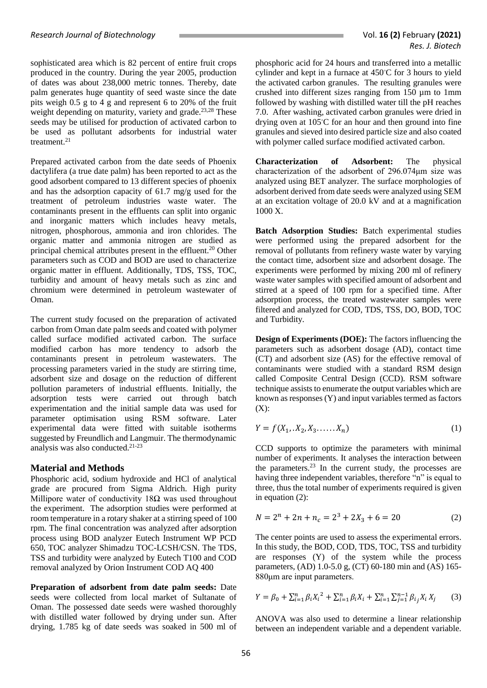sophisticated area which is 82 percent of entire fruit crops produced in the country. During the year 2005, production of dates was about 238,000 metric tonnes. Thereby, date palm generates huge quantity of seed waste since the date pits weigh 0.5 g to 4 g and represent 6 to 20% of the fruit weight depending on maturity, variety and grade.<sup>23,28</sup> These seeds may be utilised for production of activated carbon to be used as pollutant adsorbents for industrial water treatment.<sup>21</sup>

Prepared activated carbon from the date seeds of Phoenix dactylifera (a true date palm) has been reported to act as the good adsorbent compared to 13 different species of phoenix and has the adsorption capacity of 61.7 mg/g used for the treatment of petroleum industries waste water. The contaminants present in the effluents can split into organic and inorganic matters which includes heavy metals, nitrogen, phosphorous, ammonia and iron chlorides. The organic matter and ammonia nitrogen are studied as principal chemical attributes present in the effluent. <sup>20</sup> Other parameters such as COD and BOD are used to characterize organic matter in effluent. Additionally, TDS, TSS, TOC, turbidity and amount of heavy metals such as zinc and chromium were determined in petroleum wastewater of Oman.

The current study focused on the preparation of activated carbon from Oman date palm seeds and coated with polymer called surface modified activated carbon. The surface modified carbon has more tendency to adsorb the contaminants present in petroleum wastewaters. The processing parameters varied in the study are stirring time, adsorbent size and dosage on the reduction of different pollution parameters of industrial effluents. Initially, the adsorption tests were carried out through batch experimentation and the initial sample data was used for parameter optimisation using RSM software. Later experimental data were fitted with suitable isotherms suggested by Freundlich and Langmuir. The thermodynamic analysis was also conducted.21-23

# **Material and Methods**

Phosphoric acid, sodium hydroxide and HCl of analytical grade are procured from Sigma Aldrich. High purity Millipore water of conductivity  $18\Omega$  was used throughout the experiment. The adsorption studies were performed at room temperature in a rotary shaker at a stirring speed of 100 rpm. The final concentration was analyzed after adsorption process using BOD analyzer Eutech Instrument WP PCD 650, TOC analyzer Shimadzu TOC-LCSH/CSN. The TDS, TSS and turbidity were analyzed by Eutech T100 and COD removal analyzed by Orion Instrument COD AQ 400

**Preparation of adsorbent from date palm seeds:** Date seeds were collected from local market of Sultanate of Oman. The possessed date seeds were washed thoroughly with distilled water followed by drying under sun. After drying, 1.785 kg of date seeds was soaked in 500 ml of phosphoric acid for 24 hours and transferred into a metallic cylinder and kept in a furnace at 450◦C for 3 hours to yield the activated carbon granules. The resulting granules were crushed into different sizes ranging from 150 µm to 1mm followed by washing with distilled water till the pH reaches 7.0. After washing, activated carbon granules were dried in drying oven at 105◦C for an hour and then ground into fine granules and sieved into desired particle size and also coated with polymer called surface modified activated carbon.

**Characterization of Adsorbent:** The physical characterization of the adsorbent of 296.074μm size was analyzed using BET analyzer. The surface morphologies of adsorbent derived from date seeds were analyzed using SEM at an excitation voltage of 20.0 kV and at a magnification 1000 X.

**Batch Adsorption Studies:** Batch experimental studies were performed using the prepared adsorbent for the removal of pollutants from refinery waste water by varying the contact time, adsorbent size and adsorbent dosage. The experiments were performed by mixing 200 ml of refinery waste water samples with specified amount of adsorbent and stirred at a speed of 100 rpm for a specified time. After adsorption process, the treated wastewater samples were filtered and analyzed for COD, TDS, TSS, DO, BOD, TOC and Turbidity.

**Design of Experiments (DOE):** The factors influencing the parameters such as adsorbent dosage (AD), contact time (CT) and adsorbent size (AS) for the effective removal of contaminants were studied with a standard RSM design called Composite Central Design (CCD). RSM software technique assists to enumerate the output variables which are known as responses (Y) and input variables termed as factors  $(X)$ :

$$
Y = f(X_1, X_2, X_3, \dots, X_n)
$$
 (1)

CCD supports to optimize the parameters with minimal number of experiments. It analyses the interaction between the parameters. <sup>23</sup> In the current study, the processes are having three independent variables, therefore "n" is equal to three, thus the total number of experiments required is given in equation (2):

$$
N = 2n + 2n + nc = 23 + 2X3 + 6 = 20
$$
 (2)

The center points are used to assess the experimental errors. In this study, the BOD, COD, TDS, TOC, TSS and turbidity are responses (Y) of the system while the process parameters, (AD) 1.0-5.0 g, (CT) 60-180 min and (AS) 165- 880μm are input parameters.

$$
Y = \beta_0 + \sum_{i=1}^n \beta_i X_i^2 + \sum_{i=1}^n \beta_i X_i + \sum_{i=1}^n \sum_{j=1}^{n-1} \beta_i X_i X_j \tag{3}
$$

ANOVA was also used to determine a linear relationship between an independent variable and a dependent variable.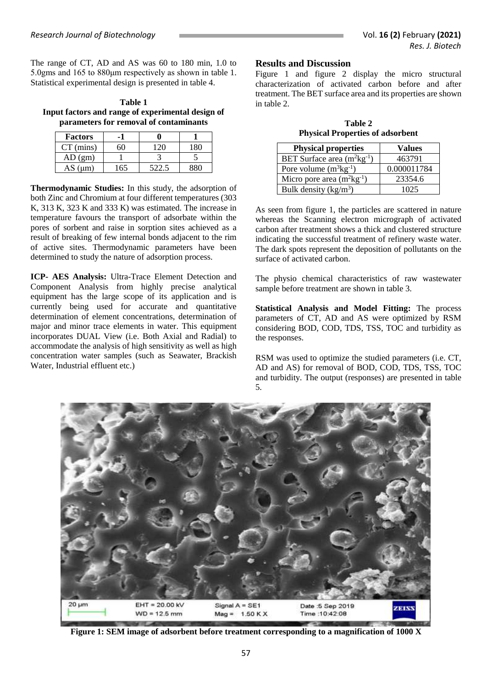The range of CT, AD and AS was 60 to 180 min, 1.0 to 5.0gms and 165 to 880μm respectively as shown in table 1. Statistical experimental design is presented in table 4.

| Table 1                                           |
|---------------------------------------------------|
| Input factors and range of experimental design of |
| parameters for removal of contaminants            |

| <b>Factors</b>  |    |  |
|-----------------|----|--|
| $CT$ (mins)     |    |  |
| AD(gm)          |    |  |
| $(\mu m)$<br>AS | 65 |  |

**Thermodynamic Studies:** In this study, the adsorption of both Zinc and Chromium at four different temperatures (303 K, 313 K, 323 K and 333 K) was estimated. The increase in temperature favours the transport of adsorbate within the pores of sorbent and raise in sorption sites achieved as a result of breaking of few internal bonds adjacent to the rim of active sites. Thermodynamic parameters have been determined to study the nature of adsorption process.

**ICP- AES Analysis:** Ultra-Trace Element Detection and Component Analysis from highly precise analytical equipment has the large scope of its application and is currently being used for accurate and quantitative determination of element concentrations, determination of major and minor trace elements in water. This equipment incorporates DUAL View (i.e. Both Axial and Radial) to accommodate the analysis of high sensitivity as well as high concentration water samples (such as Seawater, Brackish Water, Industrial effluent etc.)

# **Results and Discussion**

Figure 1 and figure 2 display the micro structural characterization of activated carbon before and after treatment. The BET surface area and its properties are shown in table 2.

**Table 2 Physical Properties of adsorbent**

| <b>Physical properties</b>       | <b>Values</b> |
|----------------------------------|---------------|
| BET Surface area $(m^2kg^{-1})$  | 463791        |
| Pore volume $(m^3kg^{-1})$       | 0.000011784   |
| Micro pore area $(m^2kg^{-1})$   | 23354.6       |
| Bulk density ( $\text{kg/m}^3$ ) | ٬۵25          |

As seen from figure 1, the particles are scattered in nature whereas the Scanning electron micrograph of activated carbon after treatment shows a thick and clustered structure indicating the successful treatment of refinery waste water. The dark spots represent the deposition of pollutants on the surface of activated carbon.

The physio chemical characteristics of raw wastewater sample before treatment are shown in table 3.

**Statistical Analysis and Model Fitting:** The process parameters of CT, AD and AS were optimized by RSM considering BOD, COD, TDS, TSS, TOC and turbidity as the responses.

RSM was used to optimize the studied parameters (i.e. CT, AD and AS) for removal of BOD, COD, TDS, TSS, TOC and turbidity. The output (responses) are presented in table 5.



**Figure 1: SEM image of adsorbent before treatment corresponding to a magnification of 1000 X**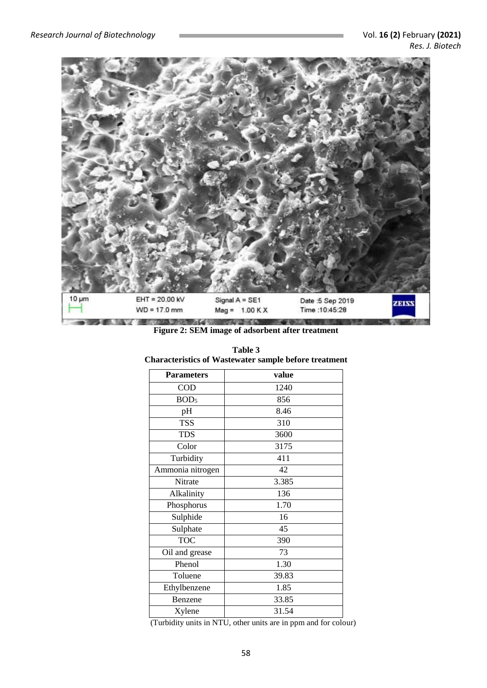

| Figure 2: SEM image of adsorbent after treatment |  |  |
|--------------------------------------------------|--|--|
|                                                  |  |  |

| <b>Parameters</b> | value |
|-------------------|-------|
| <b>COD</b>        | 1240  |
| BOD <sub>5</sub>  | 856   |
| pH                | 8.46  |
| <b>TSS</b>        | 310   |
| <b>TDS</b>        | 3600  |
| Color             | 3175  |
| Turbidity         | 411   |
| Ammonia nitrogen  | 42    |
| Nitrate           | 3.385 |
| Alkalinity        | 136   |
| Phosphorus        | 1.70  |
| Sulphide          | 16    |
| Sulphate          | 45    |
| <b>TOC</b>        | 390   |
| Oil and grease    | 73    |
| Phenol            | 1.30  |
| Toluene           | 39.83 |
| Ethylbenzene      | 1.85  |
| Benzene           | 33.85 |
| Xylene            | 31.54 |

| Table 3                                                      |  |
|--------------------------------------------------------------|--|
| <b>Characteristics of Wastewater sample before treatment</b> |  |

(Turbidity units in NTU, other units are in ppm and for colour)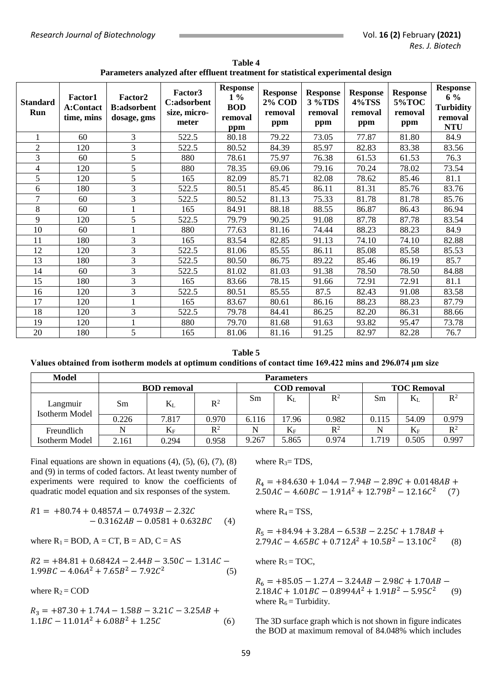| <b>Standard</b><br>Run | <b>Factor1</b><br>A:Contact<br>time, mins | <b>Factor2</b><br><b>B:adsorbent</b><br>dosage, gms | Factor3<br>C:adsorbent<br>size, micro-<br>meter | <b>Response</b><br>$1\%$<br><b>BOD</b><br>removal<br>ppm | <b>Response</b><br><b>2% COD</b><br>removal<br>ppm | <b>Response</b><br>3 %TDS<br>removal<br>ppm | <b>Response</b><br><b>4%TSS</b><br>removal<br>ppm | <b>Response</b><br><b>5%TOC</b><br>removal<br>ppm | <b>Response</b><br>6 %<br><b>Turbidity</b><br>removal<br><b>NTU</b> |
|------------------------|-------------------------------------------|-----------------------------------------------------|-------------------------------------------------|----------------------------------------------------------|----------------------------------------------------|---------------------------------------------|---------------------------------------------------|---------------------------------------------------|---------------------------------------------------------------------|
|                        | 60                                        | 3                                                   | 522.5                                           | 80.18                                                    | 79.22                                              | 73.05                                       | 77.87                                             | 81.80                                             | 84.9                                                                |
| 2                      | 120                                       | 3                                                   | 522.5                                           | 80.52                                                    | 84.39                                              | 85.97                                       | 82.83                                             | 83.38                                             | 83.56                                                               |
| 3                      | 60                                        | 5                                                   | 880                                             | 78.61                                                    | 75.97                                              | 76.38                                       | 61.53                                             | 61.53                                             | 76.3                                                                |
| 4                      | 120                                       | 5                                                   | 880                                             | 78.35                                                    | 69.06                                              | 79.16                                       | 70.24                                             | 78.02                                             | 73.54                                                               |
| 5                      | 120                                       | 5                                                   | 165                                             | 82.09                                                    | 85.71                                              | 82.08                                       | 78.62                                             | 85.46                                             | 81.1                                                                |
| 6                      | 180                                       | 3                                                   | 522.5                                           | 80.51                                                    | 85.45                                              | 86.11                                       | 81.31                                             | 85.76                                             | 83.76                                                               |
| 7                      | 60                                        | 3                                                   | 522.5                                           | 80.52                                                    | 81.13                                              | 75.33                                       | 81.78                                             | 81.78                                             | 85.76                                                               |
| 8                      | 60                                        |                                                     | 165                                             | 84.91                                                    | 88.18                                              | 88.55                                       | 86.87                                             | 86.43                                             | 86.94                                                               |
| 9                      | 120                                       | 5                                                   | 522.5                                           | 79.79                                                    | 90.25                                              | 91.08                                       | 87.78                                             | 87.78                                             | 83.54                                                               |
| 10                     | 60                                        |                                                     | 880                                             | 77.63                                                    | 81.16                                              | 74.44                                       | 88.23                                             | 88.23                                             | 84.9                                                                |
| 11                     | 180                                       | 3                                                   | 165                                             | 83.54                                                    | 82.85                                              | 91.13                                       | 74.10                                             | 74.10                                             | 82.88                                                               |
| 12                     | 120                                       | 3                                                   | 522.5                                           | 81.06                                                    | 85.55                                              | 86.11                                       | 85.08                                             | 85.58                                             | 85.53                                                               |
| 13                     | 180                                       | 3                                                   | 522.5                                           | 80.50                                                    | 86.75                                              | 89.22                                       | 85.46                                             | 86.19                                             | 85.7                                                                |
| 14                     | 60                                        | 3                                                   | 522.5                                           | 81.02                                                    | 81.03                                              | 91.38                                       | 78.50                                             | 78.50                                             | 84.88                                                               |
| 15                     | 180                                       | $\overline{3}$                                      | 165                                             | 83.66                                                    | 78.15                                              | 91.66                                       | 72.91                                             | 72.91                                             | 81.1                                                                |
| 16                     | 120                                       | 3                                                   | 522.5                                           | 80.51                                                    | 85.55                                              | 87.5                                        | 82.43                                             | 91.08                                             | 83.58                                                               |
| 17                     | 120                                       |                                                     | 165                                             | 83.67                                                    | 80.61                                              | 86.16                                       | 88.23                                             | 88.23                                             | 87.79                                                               |
| 18                     | 120                                       | 3                                                   | 522.5                                           | 79.78                                                    | 84.41                                              | 86.25                                       | 82.20                                             | 86.31                                             | 88.66                                                               |
| 19                     | 120                                       |                                                     | 880                                             | 79.70                                                    | 81.68                                              | 91.63                                       | 93.82                                             | 95.47                                             | 73.78                                                               |
| 20                     | 180                                       | 5                                                   | 165                                             | 81.06                                                    | 81.16                                              | 91.25                                       | 82.97                                             | 82.28                                             | 76.7                                                                |

**Table 4 Parameters analyzed after effluent treatment for statistical experimental design** 

**Table 5 Values obtained from isotherm models at optimum conditions of contact time 169.422 mins and 296.074 μm size**

| <b>Model</b>               | <b>Parameters</b>  |           |                    |       |           |                    |       |             |       |
|----------------------------|--------------------|-----------|--------------------|-------|-----------|--------------------|-------|-------------|-------|
|                            | <b>BOD</b> removal |           | <b>COD</b> removal |       |           | <b>TOC Removal</b> |       |             |       |
| Langmuir<br>Isotherm Model | Sm                 | $\rm K_L$ | $\mathbb{R}^2$     | Sm    | $K_{L}$   | $\mathbb{R}^2$     | Sm    | $\rm K_L$   | $R^2$ |
|                            | 0.226              | 7.817     | 0.970              | 6.116 | 17.96     | 0.982              | 0.115 | 54.09       | 0.979 |
| Freundlich                 |                    | $\rm K_F$ | $R^2$              | N     | $\rm K_F$ | $\mathbb{R}^2$     |       | $K_{\rm F}$ | $R^2$ |
| Isotherm Model             | 2.161              | 0.294     | 0.958              | 9.267 | 5.865     | 0.974              | . 719 | 0.505       | 0.997 |

Final equations are shown in equations  $(4)$ ,  $(5)$ ,  $(6)$ ,  $(7)$ ,  $(8)$ and (9) in terms of coded factors. At least twenty number of experiments were required to know the coefficients of quadratic model equation and six responses of the system.

$$
R1 = +80.74 + 0.4857A - 0.7493B - 2.32C - 0.3162AB - 0.0581 + 0.632BC
$$
 (4)

where  $R_1 = BOD$ ,  $A = CT$ ,  $B = AD$ ,  $C = AS$ 

 $R2 = +84.81 + 0.6842A - 2.44B - 3.50C - 1.31AC 1.99BC - 4.06A^2 + 7.65B^2 - 7.92C^2$ (5)

where  $R_2 = COD$ 

$$
R_3 = +87.30 + 1.74A - 1.58B - 3.21C - 3.25AB +1.1BC - 11.01A2 + 6.08B2 + 1.25C
$$
 (6)

where  $R_3$ = TDS,

 $R_4$  = +84.630 + 1.04A – 7.94B – 2.89C + 0.0148AB +  $2.50AC - 4.60BC - 1.91A^2 + 12.79B^2 - 12.16C^2$ (7)

where  $R_4 = TSS$ ,

$$
R_5 = +84.94 + 3.28A - 6.53B - 2.25C + 1.78AB +
$$
  
2.79AC - 4.65BC + 0.712A<sup>2</sup> + 10.5B<sup>2</sup> - 13.10C<sup>2</sup> (8)

where  $R_5 = TOC$ ,

 $R_6 = +85.05 - 1.27A - 3.24AB - 2.98C + 1.70AB$  $2.18AC + 1.01BC - 0.8994A^2 + 1.91B^2 - 5.95C^2$  (9) where  $R_6$  = Turbidity.

The 3D surface graph which is not shown in figure indicates the BOD at maximum removal of 84.048% which includes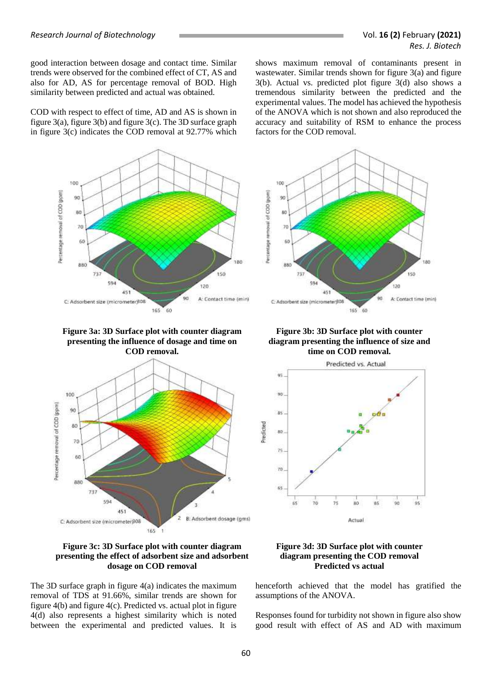good interaction between dosage and contact time. Similar trends were observed for the combined effect of CT, AS and also for AD, AS for percentage removal of BOD. High similarity between predicted and actual was obtained.

COD with respect to effect of time, AD and AS is shown in figure 3(a), figure 3(b) and figure 3(c). The 3D surface graph in figure 3(c) indicates the COD removal at 92.77% which

shows maximum removal of contaminants present in wastewater. Similar trends shown for figure 3(a) and figure 3(b). Actual vs. predicted plot figure 3(d) also shows a tremendous similarity between the predicted and the experimental values. The model has achieved the hypothesis of the ANOVA which is not shown and also reproduced the accuracy and suitability of RSM to enhance the process factors for the COD removal.





**Figure 3a: 3D Surface plot with counter diagram presenting the influence of dosage and time on COD removal.**



**Figure 3c: 3D Surface plot with counter diagram presenting the effect of adsorbent size and adsorbent dosage on COD removal**

The 3D surface graph in figure 4(a) indicates the maximum removal of TDS at 91.66%, similar trends are shown for figure 4(b) and figure 4(c). Predicted vs. actual plot in figure 4(d) also represents a highest similarity which is noted between the experimental and predicted values. It is

**Figure 3b: 3D Surface plot with counter diagram presenting the influence of size and time on COD removal.**



#### **Figure 3d: 3D Surface plot with counter diagram presenting the COD removal Predicted vs actual**

henceforth achieved that the model has gratified the assumptions of the ANOVA.

Responses found for turbidity not shown in figure also show good result with effect of AS and AD with maximum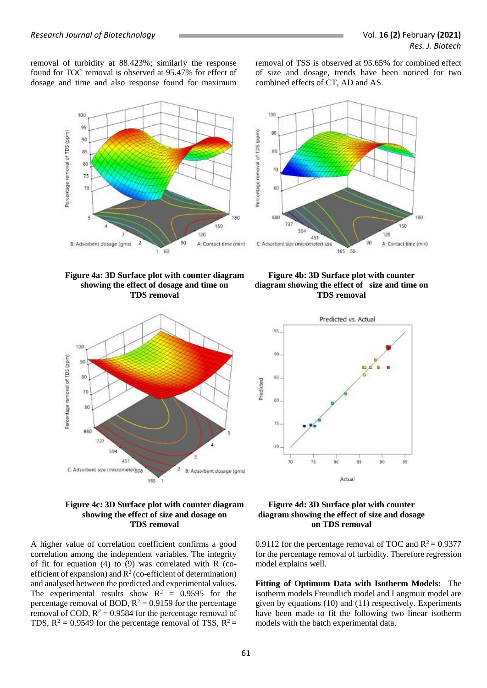removal of turbidity at 88.423%; similarly the response found for TOC removal is observed at 95.47% for effect of dosage and time and also response found for maximum removal of TSS is observed at 95.65% for combined effect of size and dosage, trends have been noticed for two combined effects of CT, AD and AS.



**Figure 4a: 3D Surface plot with counter diagram showing the effect of dosage and time on TDS removal**



## **Figure 4b: 3D Surface plot with counter diagram showing the effect of size and time on TDS removal**



#### **Figure 4c: 3D Surface plot with counter diagram showing the effect of size and dosage on TDS removal**

A higher value of correlation coefficient confirms a good correlation among the independent variables. The integrity of fit for equation  $(4)$  to  $(9)$  was correlated with R (coefficient of expansion) and  $R^2$  (co-efficient of determination) and analysed between the predicted and experimental values. The experimental results show  $R^2 = 0.9595$  for the percentage removal of BOD,  $R^2 = 0.9159$  for the percentage removal of COD,  $R^2 = 0.9584$  for the percentage removal of TDS,  $R^2 = 0.9549$  for the percentage removal of TSS,  $R^2 =$ 

#### **Figure 4d: 3D Surface plot with counter diagram showing the effect of size and dosage on TDS removal**

0.9112 for the percentage removal of TOC and  $R^2 = 0.9377$ for the percentage removal of turbidity. Therefore regression model explains well.

**Fitting of Optimum Data with Isotherm Models:** The isotherm models Freundlich model and Langmuir model are given by equations (10) and (11) respectively. Experiments have been made to fit the following two linear isotherm models with the batch experimental data.

100 Percentage removal of TDS (ppm) 90  $80$  $\dot{\pi}$ 6d 880 180 737  $150$ 594  $120$  $451$ 90 C: Adsorbent size (micrometer) and A: Contact time (min) 165 60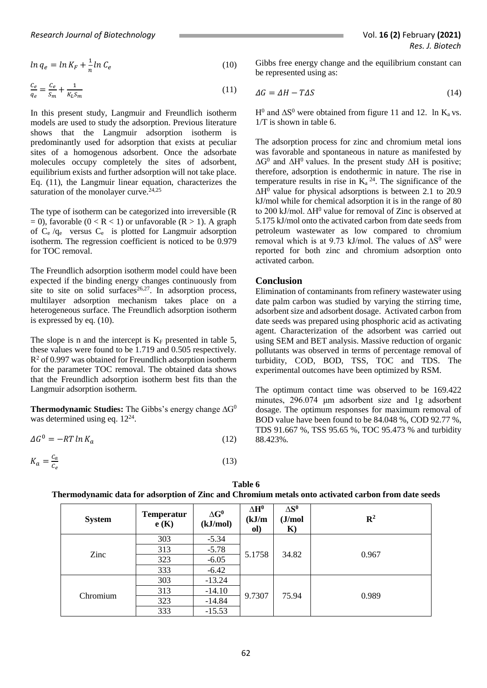$$
\ln q_e = \ln K_F + \frac{1}{n} \ln C_e \tag{10}
$$

$$
\frac{c_e}{q_e} = \frac{c_e}{s_m} + \frac{1}{\kappa_L s_m} \tag{11}
$$

In this present study, Langmuir and Freundlich isotherm models are used to study the adsorption. Previous literature shows that the Langmuir adsorption isotherm is predominantly used for adsorption that exists at peculiar sites of a homogenous adsorbent. Once the adsorbate molecules occupy completely the sites of adsorbent, equilibrium exists and further adsorption will not take place. Eq. (11), the Langmuir linear equation, characterizes the saturation of the monolayer curve.<sup>24,25</sup>

The type of isotherm can be categorized into irreversible (R  $= 0$ ), favorable (0 < R < 1) or unfavorable (R > 1). A graph of  $C_e / q_e$  versus  $C_e$  is plotted for Langmuir adsorption isotherm. The regression coefficient is noticed to be 0.979 for TOC removal.

The Freundlich adsorption isotherm model could have been expected if the binding energy changes continuously from site to site on solid surfaces<sup>26,27</sup>. In adsorption process, multilayer adsorption mechanism takes place on a heterogeneous surface. The Freundlich adsorption isotherm is expressed by eq. (10).

The slope is n and the intercept is  $K_F$  presented in table 5, these values were found to be 1.719 and 0.505 respectively. R<sup>2</sup> of 0.997 was obtained for Freundlich adsorption isotherm for the parameter TOC removal. The obtained data shows that the Freundlich adsorption isotherm best fits than the Langmuir adsorption isotherm.

Thermodynamic Studies: The Gibbs's energy change ∆G<sup>0</sup> was determined using eq. 12<sup>24</sup> .

$$
\Delta G^0 = -RT \ln K_a \tag{12}
$$

$$
K_a = \frac{c_a}{c_e} \tag{13}
$$

Gibbs free energy change and the equilibrium constant can be represented using as:

$$
\Delta G = \Delta H - T\Delta S \tag{14}
$$

H<sup>0</sup> and  $\Delta S^0$  were obtained from figure 11 and 12. ln K<sub>a</sub> vs. 1/T is shown in table 6.

The adsorption process for zinc and chromium metal ions was favorable and spontaneous in nature as manifested by  $\Delta G^0$  and  $\Delta H^0$  values. In the present study  $\Delta H$  is positive; therefore, adsorption is endothermic in nature. The rise in temperature results in rise in  $K_a^{24}$ . The significance of the  $\Delta H^0$  value for physical adsorptions is between 2.1 to 20.9 kJ/mol while for chemical adsorption it is in the range of 80 to 200 kJ/mol. ΔH<sup>0</sup> value for removal of Zinc is observed at 5.175 kJ/mol onto the activated carbon from date seeds from petroleum wastewater as low compared to chromium removal which is at 9.73 kJ/mol. The values of  $\Delta S^0$  were reported for both zinc and chromium adsorption onto activated carbon.

## **Conclusion**

Elimination of contaminants from refinery wastewater using date palm carbon was studied by varying the stirring time, adsorbent size and adsorbent dosage. Activated carbon from date seeds was prepared using phosphoric acid as activating agent. Characterization of the adsorbent was carried out using SEM and BET analysis. Massive reduction of organic pollutants was observed in terms of percentage removal of turbidity, COD, BOD, TSS, TOC and TDS. The experimental outcomes have been optimized by RSM.

The optimum contact time was observed to be 169.422 minutes, 296.074 μm adsorbent size and 1g adsorbent dosage. The optimum responses for maximum removal of BOD value have been found to be 84.048 %, COD 92.77 %, TDS 91.667 %, TSS 95.65 %, TOC 95.473 % and turbidity 88.423%.

| <b>System</b> | <b>Temperatur</b><br>e(K) | $\Delta G^0$<br>(kJ/mol) | $\Delta H^0$<br>(kJ/m)<br>ol) | $\Delta S^0$<br>(J/mol)<br>$\mathbf{K}$ | $\mathbb{R}^2$ |
|---------------|---------------------------|--------------------------|-------------------------------|-----------------------------------------|----------------|
|               | 303                       | $-5.34$                  |                               |                                         |                |
|               | 313                       | $-5.78$                  | 5.1758                        | 34.82                                   | 0.967          |
| Zinc          | 323                       | $-6.05$                  |                               |                                         |                |
|               | 333                       | $-6.42$                  |                               |                                         |                |
|               | 303                       | $-13.24$                 |                               |                                         |                |
| Chromium      | 313                       | $-14.10$                 |                               |                                         |                |
|               | 323                       | $-14.84$                 | 9.7307                        | 75.94                                   | 0.989          |
|               | 333                       | $-15.53$                 |                               |                                         |                |

**Table 6 Thermodynamic data for adsorption of Zinc and Chromium metals onto activated carbon from date seeds**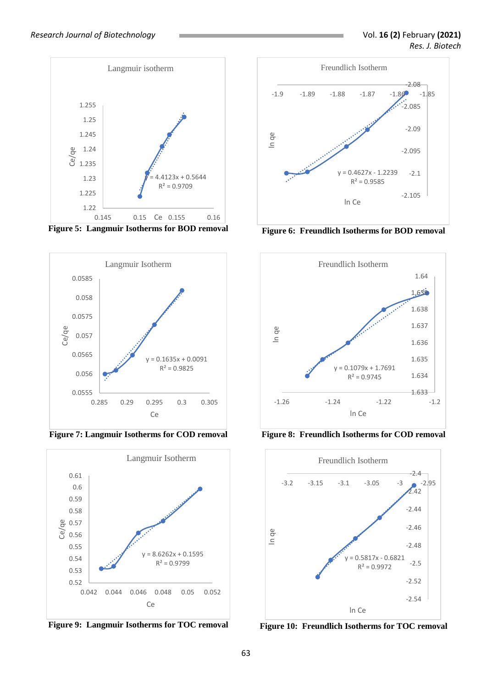





**Figure 9: Langmuir Isotherms for TOC removal Figure 10: Freundlich Isotherms for TOC removal**





**Figure 7: Langmuir Isotherms for COD removal Figure 8: Freundlich Isotherms for COD removal**

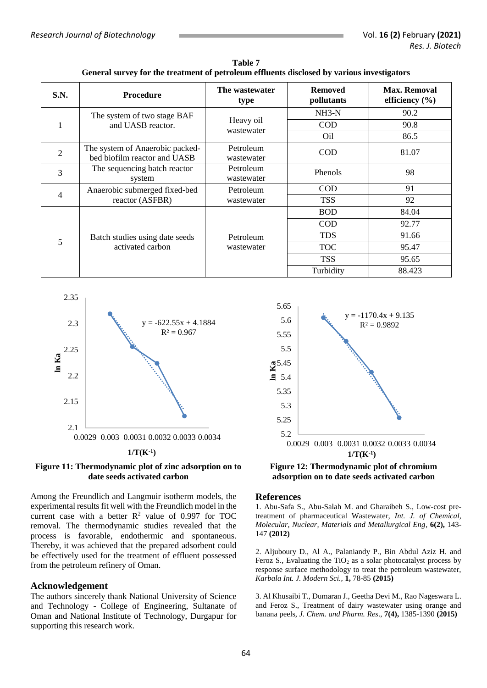| <b>S.N.</b>    | <b>Procedure</b>                                                | The wastewater<br>type  | <b>Removed</b><br>pollutants | Max. Removal<br>efficiency $(\% )$ |
|----------------|-----------------------------------------------------------------|-------------------------|------------------------------|------------------------------------|
|                | The system of two stage BAF                                     |                         | $NH3-N$                      | 90.2                               |
|                | and UASB reactor.                                               | Heavy oil<br>wastewater | <b>COD</b>                   | 90.8                               |
|                |                                                                 |                         | Oil                          | 86.5                               |
| $\overline{2}$ | The system of Anaerobic packed-<br>bed biofilm reactor and UASB | Petroleum<br>wastewater | <b>COD</b>                   | 81.07                              |
| 3              | The sequencing batch reactor<br>system                          | Petroleum<br>wastewater | Phenols                      | 98                                 |
|                | Anaerobic submerged fixed-bed                                   | Petroleum               | <b>COD</b>                   | 91                                 |
| $\overline{4}$ | reactor (ASFBR)                                                 | wastewater              | <b>TSS</b>                   | 92                                 |
|                |                                                                 |                         | <b>BOD</b>                   | 84.04                              |
|                |                                                                 |                         | <b>COD</b>                   | 92.77                              |
| 5              | Batch studies using date seeds<br>activated carbon              | Petroleum               | <b>TDS</b>                   | 91.66                              |
|                |                                                                 | wastewater              | <b>TOC</b>                   | 95.47                              |
|                |                                                                 |                         | <b>TSS</b>                   | 95.65                              |
|                |                                                                 |                         | Turbidity                    | 88.423                             |

**Table 7 General survey for the treatment of petroleum effluents disclosed by various investigators**





Among the Freundlich and Langmuir isotherm models, the experimental results fit well with the Freundlich model in the current case with a better  $R^2$  value of 0.997 for TOC removal. The thermodynamic studies revealed that the process is favorable, endothermic and spontaneous. Thereby, it was achieved that the prepared adsorbent could be effectively used for the treatment of effluent possessed from the petroleum refinery of Oman.

## **Acknowledgement**

The authors sincerely thank National University of Science and Technology - College of Engineering, Sultanate of Oman and National Institute of Technology, Durgapur for supporting this research work.



**Figure 12: Thermodynamic plot of chromium adsorption on to date seeds activated carbon**

## **References**

1. Abu-Safa S., Abu-Salah M. and Gharaibeh S., Low-cost pretreatment of pharmaceutical Wastewater, *Int. J. of Chemical, Molecular, Nuclear, Materials and Metallurgical Eng*, **6(2),** 143- 147 **(2012)**

2. Aljuboury D., Al A., Palaniandy P., Bin Abdul Aziz H. and Feroz S., Evaluating the  $TiO<sub>2</sub>$  as a solar photocatalyst process by response surface methodology to treat the petroleum wastewater, *Karbala Int. J. Modern Sci.,* **1,** 78-85 **(2015)**

3. Al Khusaibi T., Dumaran J., Geetha Devi M., Rao Nageswara L. and Feroz S., Treatment of dairy wastewater using orange and banana peels, *J. Chem. and Pharm. Res*., **7(4),** 1385-1390 **(2015)**